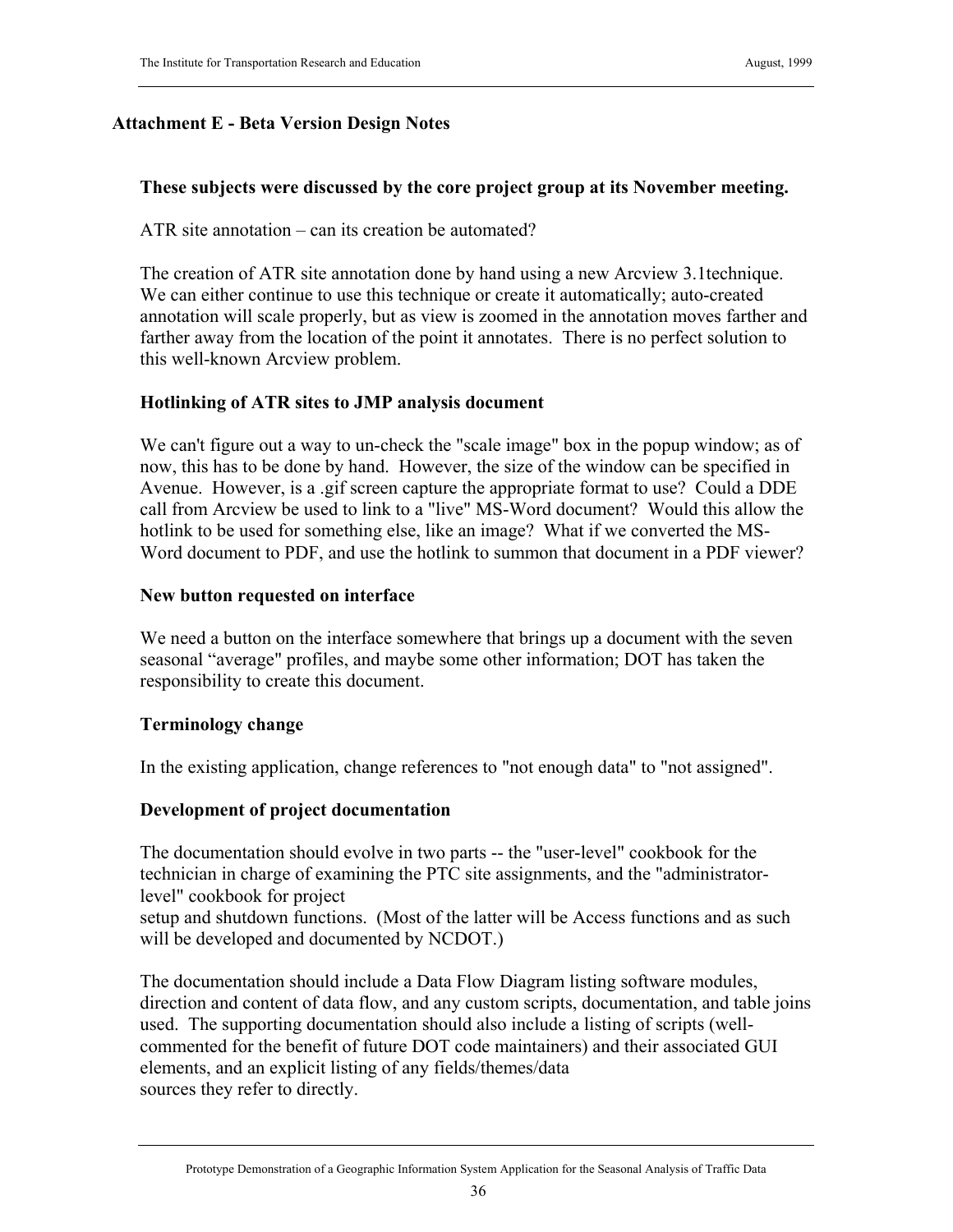### **Attachment E - Beta Version Design Notes**

### **These subjects were discussed by the core project group at its November meeting.**

ATR site annotation – can its creation be automated?

The creation of ATR site annotation done by hand using a new Arcview 3.1technique. We can either continue to use this technique or create it automatically; auto-created annotation will scale properly, but as view is zoomed in the annotation moves farther and farther away from the location of the point it annotates. There is no perfect solution to this well-known Arcview problem.

### **Hotlinking of ATR sites to JMP analysis document**

We can't figure out a way to un-check the "scale image" box in the popup window; as of now, this has to be done by hand. However, the size of the window can be specified in Avenue. However, is a .gif screen capture the appropriate format to use? Could a DDE call from Arcview be used to link to a "live" MS-Word document? Would this allow the hotlink to be used for something else, like an image? What if we converted the MS-Word document to PDF, and use the hotlink to summon that document in a PDF viewer?

### **New button requested on interface**

We need a button on the interface somewhere that brings up a document with the seven seasonal "average" profiles, and maybe some other information; DOT has taken the responsibility to create this document.

### **Terminology change**

In the existing application, change references to "not enough data" to "not assigned".

### **Development of project documentation**

The documentation should evolve in two parts -- the "user-level" cookbook for the technician in charge of examining the PTC site assignments, and the "administratorlevel" cookbook for project

setup and shutdown functions. (Most of the latter will be Access functions and as such will be developed and documented by NCDOT.)

The documentation should include a Data Flow Diagram listing software modules, direction and content of data flow, and any custom scripts, documentation, and table joins used. The supporting documentation should also include a listing of scripts (wellcommented for the benefit of future DOT code maintainers) and their associated GUI elements, and an explicit listing of any fields/themes/data sources they refer to directly.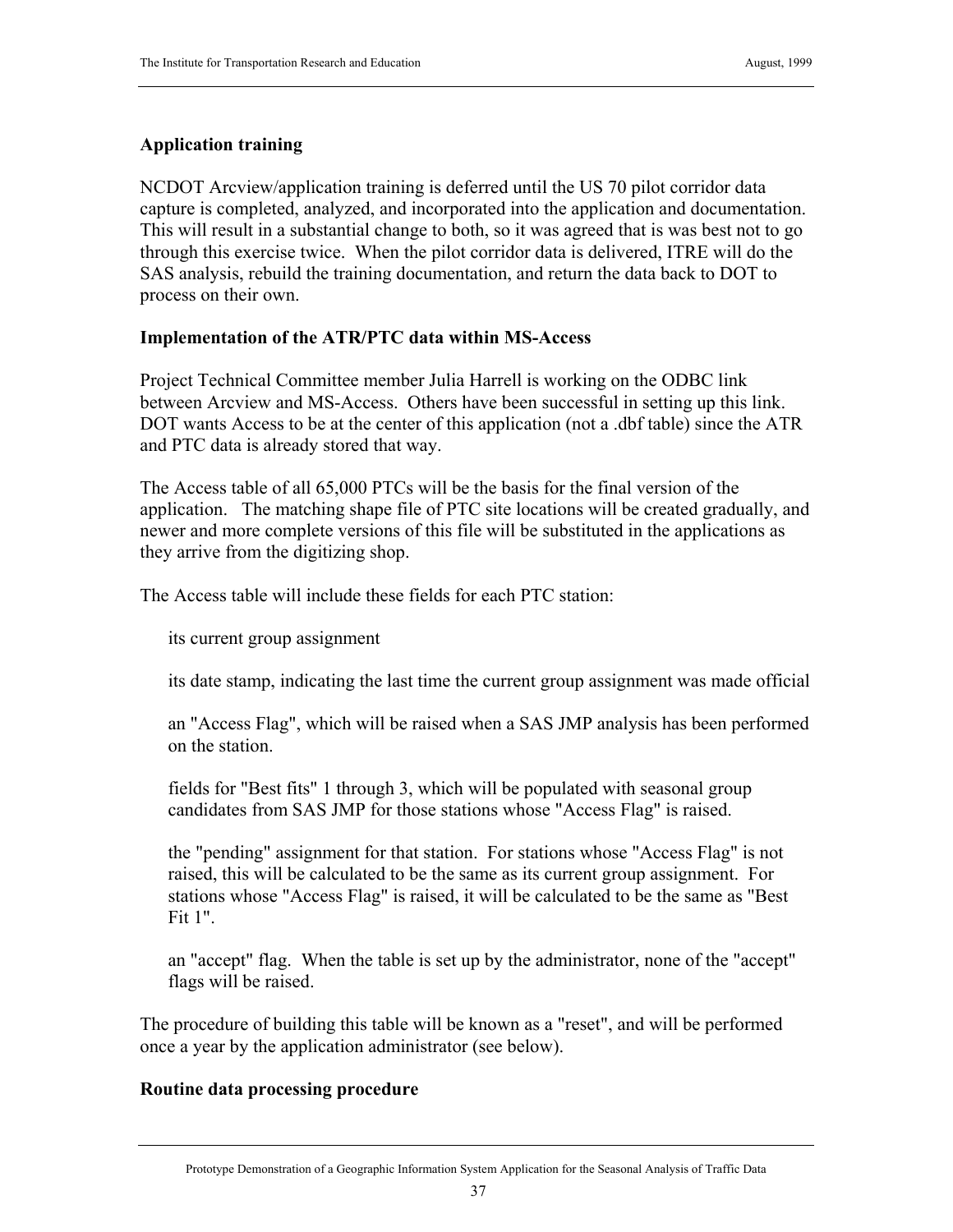# **Application training**

NCDOT Arcview/application training is deferred until the US 70 pilot corridor data capture is completed, analyzed, and incorporated into the application and documentation. This will result in a substantial change to both, so it was agreed that is was best not to go through this exercise twice. When the pilot corridor data is delivered, ITRE will do the SAS analysis, rebuild the training documentation, and return the data back to DOT to process on their own.

# **Implementation of the ATR/PTC data within MS-Access**

Project Technical Committee member Julia Harrell is working on the ODBC link between Arcview and MS-Access. Others have been successful in setting up this link. DOT wants Access to be at the center of this application (not a .dbf table) since the ATR and PTC data is already stored that way.

The Access table of all 65,000 PTCs will be the basis for the final version of the application. The matching shape file of PTC site locations will be created gradually, and newer and more complete versions of this file will be substituted in the applications as they arrive from the digitizing shop.

The Access table will include these fields for each PTC station:

its current group assignment

its date stamp, indicating the last time the current group assignment was made official

an "Access Flag", which will be raised when a SAS JMP analysis has been performed on the station.

fields for "Best fits" 1 through 3, which will be populated with seasonal group candidates from SAS JMP for those stations whose "Access Flag" is raised.

the "pending" assignment for that station. For stations whose "Access Flag" is not raised, this will be calculated to be the same as its current group assignment. For stations whose "Access Flag" is raised, it will be calculated to be the same as "Best Fit  $1"$ 

an "accept" flag. When the table is set up by the administrator, none of the "accept" flags will be raised.

The procedure of building this table will be known as a "reset", and will be performed once a year by the application administrator (see below).

# **Routine data processing procedure**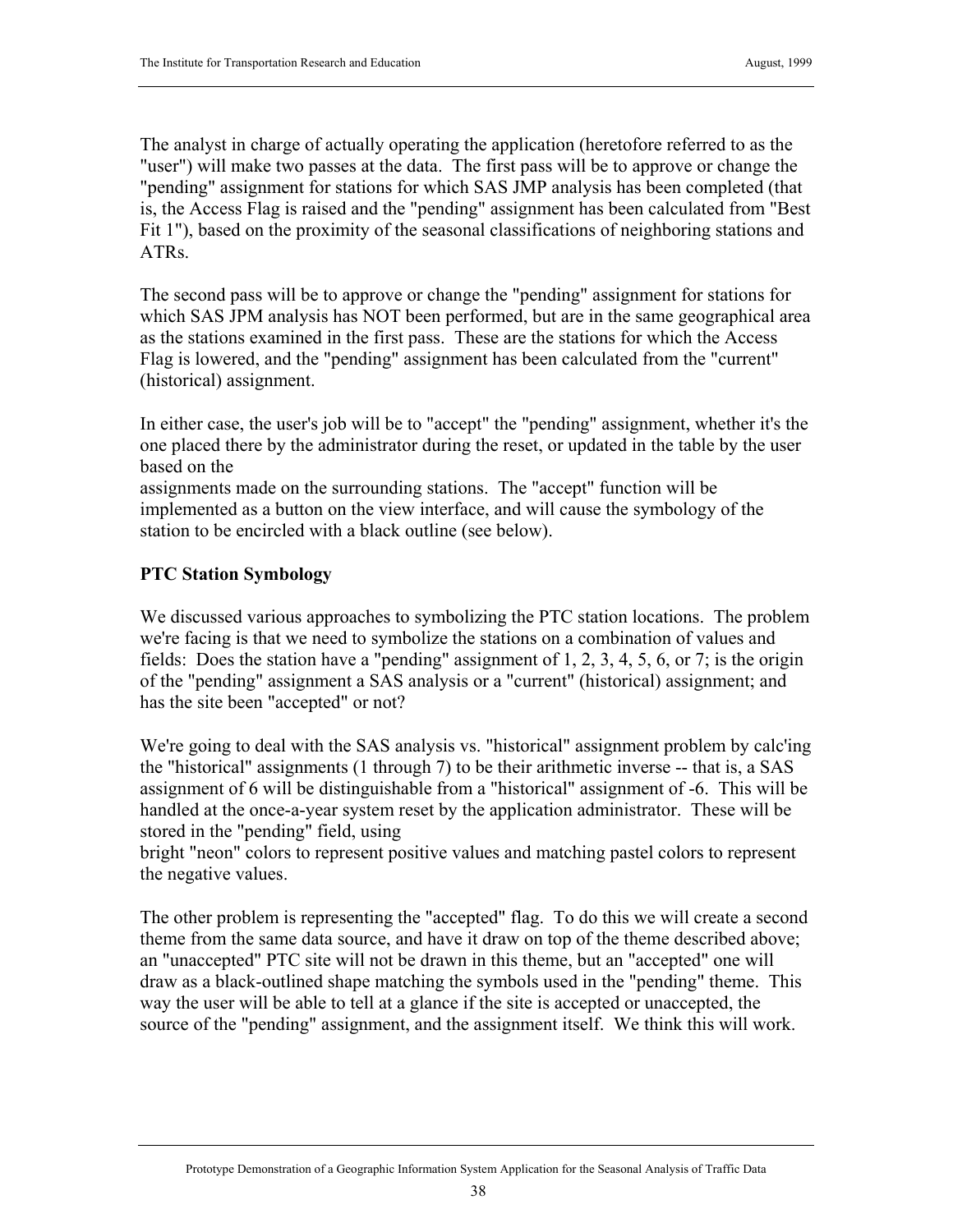The analyst in charge of actually operating the application (heretofore referred to as the "user") will make two passes at the data. The first pass will be to approve or change the "pending" assignment for stations for which SAS JMP analysis has been completed (that is, the Access Flag is raised and the "pending" assignment has been calculated from "Best Fit 1"), based on the proximity of the seasonal classifications of neighboring stations and ATRs.

The second pass will be to approve or change the "pending" assignment for stations for which SAS JPM analysis has NOT been performed, but are in the same geographical area as the stations examined in the first pass. These are the stations for which the Access Flag is lowered, and the "pending" assignment has been calculated from the "current" (historical) assignment.

In either case, the user's job will be to "accept" the "pending" assignment, whether it's the one placed there by the administrator during the reset, or updated in the table by the user based on the

assignments made on the surrounding stations. The "accept" function will be implemented as a button on the view interface, and will cause the symbology of the station to be encircled with a black outline (see below).

# **PTC Station Symbology**

We discussed various approaches to symbolizing the PTC station locations. The problem we're facing is that we need to symbolize the stations on a combination of values and fields: Does the station have a "pending" assignment of 1, 2, 3, 4, 5, 6, or 7; is the origin of the "pending" assignment a SAS analysis or a "current" (historical) assignment; and has the site been "accepted" or not?

We're going to deal with the SAS analysis vs. "historical" assignment problem by calc'ing the "historical" assignments (1 through 7) to be their arithmetic inverse -- that is, a SAS assignment of 6 will be distinguishable from a "historical" assignment of -6. This will be handled at the once-a-year system reset by the application administrator. These will be stored in the "pending" field, using

bright "neon" colors to represent positive values and matching pastel colors to represent the negative values.

The other problem is representing the "accepted" flag. To do this we will create a second theme from the same data source, and have it draw on top of the theme described above; an "unaccepted" PTC site will not be drawn in this theme, but an "accepted" one will draw as a black-outlined shape matching the symbols used in the "pending" theme. This way the user will be able to tell at a glance if the site is accepted or unaccepted, the source of the "pending" assignment, and the assignment itself. We think this will work.